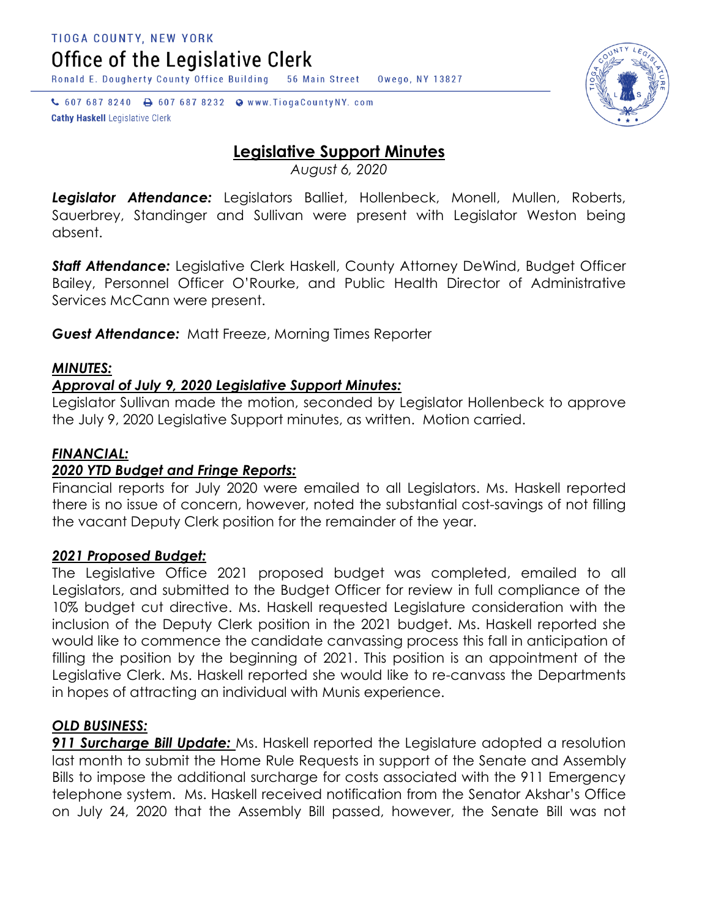Office of the Legislative Clerk

Ronald E. Dougherty County Office Building 56 Main Street Owego, NY 13827

↓ 607 687 8240 → 607 687 8232 → www.TiogaCountyNY.com **Cathy Haskell Legislative Clerk** 

# **Legislative Support Minutes**

*August 6, 2020*

*Legislator Attendance:* Legislators Balliet, Hollenbeck, Monell, Mullen, Roberts, Sauerbrey, Standinger and Sullivan were present with Legislator Weston being absent.

*Staff Attendance:* Legislative Clerk Haskell, County Attorney DeWind, Budget Officer Bailey, Personnel Officer O'Rourke, and Public Health Director of Administrative Services McCann were present.

*Guest Attendance:* Matt Freeze, Morning Times Reporter

## *MINUTES:*

## *Approval of July 9, 2020 Legislative Support Minutes:*

Legislator Sullivan made the motion, seconded by Legislator Hollenbeck to approve the July 9, 2020 Legislative Support minutes, as written. Motion carried.

## *FINANCIAL:*

#### *2020 YTD Budget and Fringe Reports:*

Financial reports for July 2020 were emailed to all Legislators. Ms. Haskell reported there is no issue of concern, however, noted the substantial cost-savings of not filling the vacant Deputy Clerk position for the remainder of the year.

#### *2021 Proposed Budget:*

The Legislative Office 2021 proposed budget was completed, emailed to all Legislators, and submitted to the Budget Officer for review in full compliance of the 10% budget cut directive. Ms. Haskell requested Legislature consideration with the inclusion of the Deputy Clerk position in the 2021 budget. Ms. Haskell reported she would like to commence the candidate canvassing process this fall in anticipation of filling the position by the beginning of 2021. This position is an appointment of the Legislative Clerk. Ms. Haskell reported she would like to re-canvass the Departments in hopes of attracting an individual with Munis experience.

#### *OLD BUSINESS:*

*911 Surcharge Bill Update:* Ms. Haskell reported the Legislature adopted a resolution last month to submit the Home Rule Requests in support of the Senate and Assembly Bills to impose the additional surcharge for costs associated with the 911 Emergency telephone system. Ms. Haskell received notification from the Senator Akshar's Office on July 24, 2020 that the Assembly Bill passed, however, the Senate Bill was not